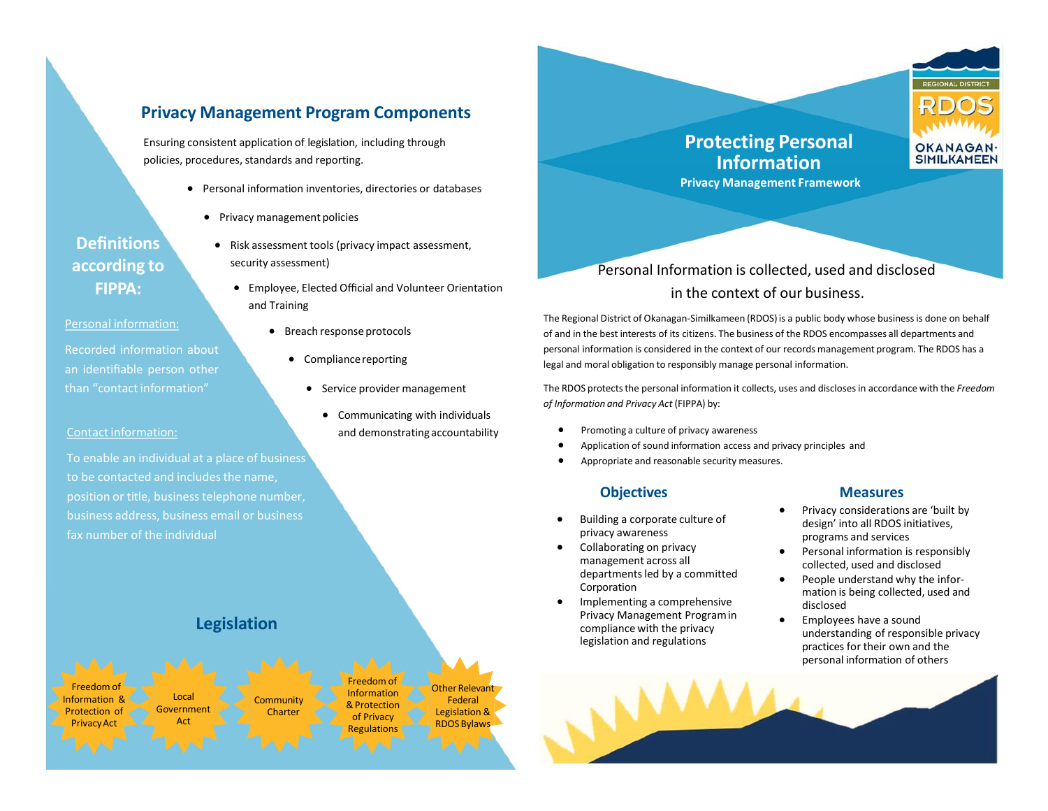# **Privacy Management Program Components**

Ensuring consistent application of legislation, including through policies, procedures, standards and reporting.

• Personal information inventories, directories or databases

• Risk assessment tools (privacy impact assessment,

• Breach response protocols

• Compliancereporting

• Employee, Elected Official and Volunteer Orientation

• Service provider management

• Communicating with individuals and demonstratingaccountability

• Privacy management policies

security assessment)

and Training

**Definitions according to FIPPA:**

Personal information:

Recorded information about an identifiable person other than "contact information"

#### Contact information:

To enable an individual at a place of business to be contacted and includes the name, position or title, business telephone number, business address, business email or business fax number of the individual

# **Legislation**





# Personal Information is collected, used and disclosed in the context of our business.

The Regional District of Okanagan‐Similkameen (RDOS) is a public body whose business is done on behalf of and in the best interests of its citizens. The business of the RDOS encompasses all departments and personal information is considered in the context of our records management program. The RDOS has a legal and moral obligation to responsibly manage personal information.

The RDOS protects the personal information it collects, uses and discloses in accordance with the *Freedom of Information and Privacy Act* (FIPPA) by:

- Promoting a culture of privacy awareness
- Application of sound information access and privacy principles and
- Appropriate and reasonable security measures.

## **Objectives**

- Building a corporate culture of privacy awareness
- Collaborating on privacy management across all departments led by a committed Corporation
- Implementing a comprehensive Privacy Management Programin compliance with the privacy legislation and regulations

#### **Measures**

- Privacy considerations are 'built by design' into all RDOS initiatives, programs and services
- Personal information is responsibly collected, used and disclosed
- People understand why the information is being collected, used and disclosed
- Employees have a sound understanding of responsible privacy practices for their own and the personal information of others